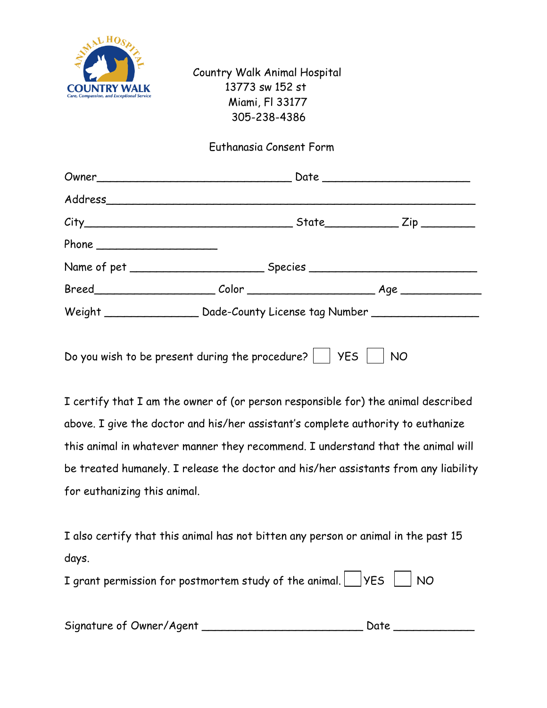

Country Walk Animal Hospital 13773 sw 152 st Miami, Fl 33177 305-238-4386

## Euthanasia Consent Form

| Address             |                                                                                  |  |  |  |
|---------------------|----------------------------------------------------------------------------------|--|--|--|
|                     |                                                                                  |  |  |  |
| Phone $\frac{1}{2}$ |                                                                                  |  |  |  |
|                     |                                                                                  |  |  |  |
|                     |                                                                                  |  |  |  |
|                     | Weight ___________________ Dade-County License tag Number ______________________ |  |  |  |
|                     |                                                                                  |  |  |  |
|                     |                                                                                  |  |  |  |

Do you wish to be present during the procedure?  $\vert$   $\vert$  YES  $\vert$   $\vert$  NO

I certify that I am the owner of (or person responsible for) the animal described above. I give the doctor and his/her assistant's complete authority to euthanize this animal in whatever manner they recommend. I understand that the animal will be treated humanely. I release the doctor and his/her assistants from any liability for euthanizing this animal.

I also certify that this animal has not bitten any person or animal in the past 15 days.

| I grant permission for postmortem study of the animal. $\Box$ YES $\Box$ NO |  |  |  |  |  |
|-----------------------------------------------------------------------------|--|--|--|--|--|
|-----------------------------------------------------------------------------|--|--|--|--|--|

| Signature of Owner/Agent |  |  |
|--------------------------|--|--|
|--------------------------|--|--|